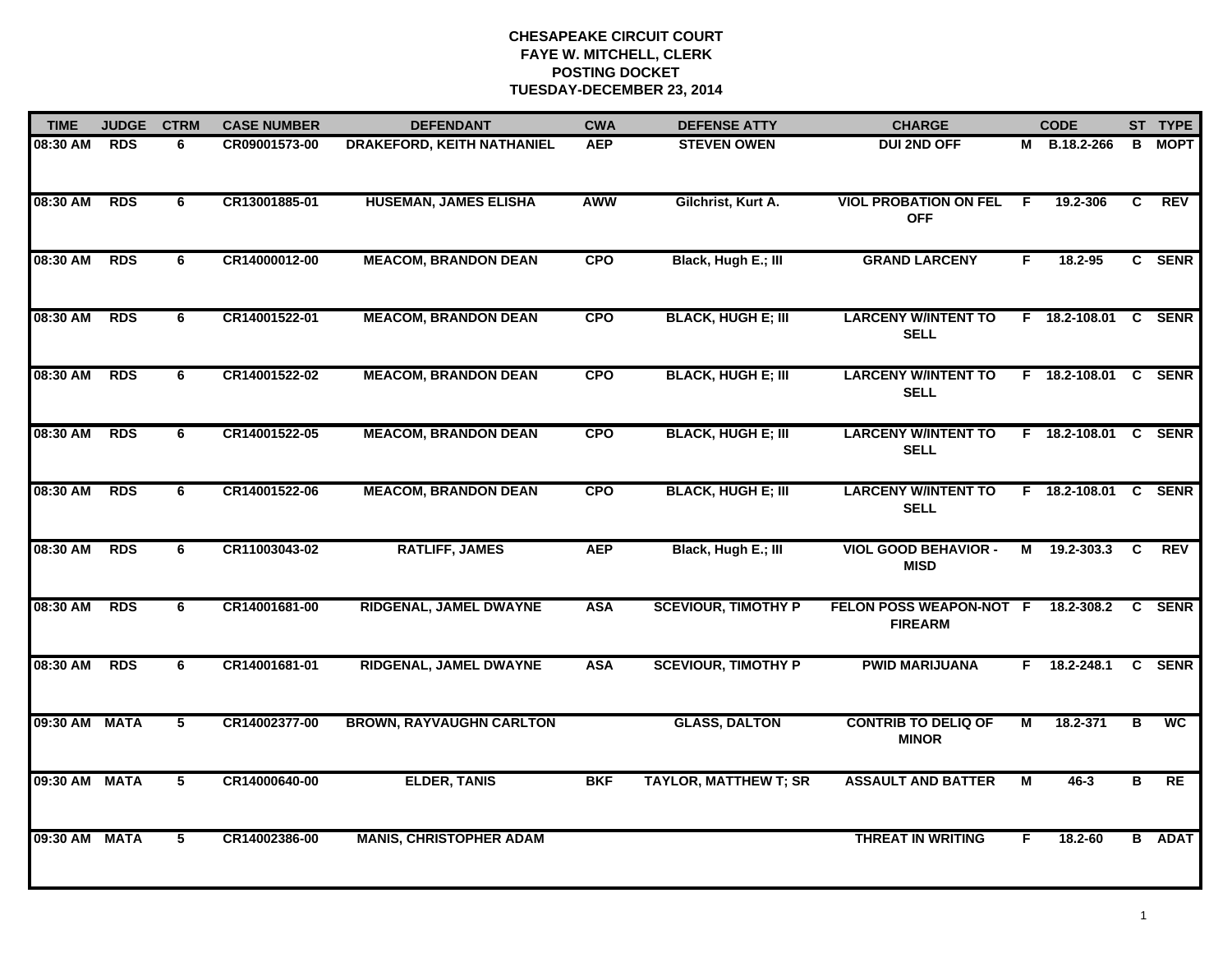## **CHESAPEAKE CIRCUIT COURT FAYE W. MITCHELL, CLERK POSTING DOCKET TUESDAY-DECEMBER 23, 2014**

| <b>TIME</b>   | <b>JUDGE</b>                      | <b>CTRM</b>     | <b>CASE NUMBER</b>                | <b>DEFENDANT</b>                | <b>CWA</b> | <b>DEFENSE ATTY</b>                      | <b>CHARGE</b>                                        |                        | <b>CODE</b>          |                | ST TYPE       |
|---------------|-----------------------------------|-----------------|-----------------------------------|---------------------------------|------------|------------------------------------------|------------------------------------------------------|------------------------|----------------------|----------------|---------------|
| 08:30 AM      | <b>RDS</b><br>CR09001573-00<br>6. |                 | <b>DRAKEFORD, KEITH NATHANIEL</b> | <b>AEP</b>                      |            | <b>DUI 2ND OFF</b><br><b>STEVEN OWEN</b> |                                                      | <b>B.18.2-266</b><br>M | B                    | <b>MOPT</b>    |               |
| 08:30 AM      | <b>RDS</b>                        | 6               | CR13001885-01                     | <b>HUSEMAN, JAMES ELISHA</b>    | AWW        | Gilchrist, Kurt A.                       | <b>VIOL PROBATION ON FEL</b><br><b>OFF</b>           | F.                     | 19.2-306             | C              | REV           |
| 08:30 AM      | <b>RDS</b>                        | 6               | CR14000012-00                     | <b>MEACOM, BRANDON DEAN</b>     | <b>CPO</b> | Black, Hugh E.; III                      | <b>GRAND LARCENY</b>                                 | F.                     | 18.2-95              |                | C SENR        |
| 08:30 AM      | <b>RDS</b>                        | 6               | CR14001522-01                     | <b>MEACOM, BRANDON DEAN</b>     | <b>CPO</b> | <b>BLACK, HUGH E; III</b>                | <b>LARCENY W/INTENT TO</b><br><b>SELL</b>            |                        | F 18.2-108.01 C SENR |                |               |
| 08:30 AM      | <b>RDS</b>                        | 6               | CR14001522-02                     | <b>MEACOM, BRANDON DEAN</b>     | <b>CPO</b> | <b>BLACK, HUGH E; III</b>                | <b>LARCENY W/INTENT TO</b><br><b>SELL</b>            |                        | F 18.2-108.01 C SENR |                |               |
| 08:30 AM      | <b>RDS</b>                        | 6               | CR14001522-05                     | <b>MEACOM, BRANDON DEAN</b>     | <b>CPO</b> | <b>BLACK, HUGH E; III</b>                | <b>LARCENY W/INTENT TO</b><br><b>SELL</b>            |                        | F 18.2-108.01 C SENR |                |               |
| 08:30 AM      | <b>RDS</b>                        | 6               | CR14001522-06                     | <b>MEACOM, BRANDON DEAN</b>     | <b>CPO</b> | <b>BLACK, HUGH E; III</b>                | <b>LARCENY W/INTENT TO</b><br><b>SELL</b>            |                        | F 18.2-108.01 C SENR |                |               |
| 08:30 AM      | <b>RDS</b>                        | 6               | CR11003043-02                     | <b>RATLIFF, JAMES</b>           | <b>AEP</b> | Black, Hugh E.; III                      | <b>VIOL GOOD BEHAVIOR -</b><br><b>MISD</b>           |                        | M 19.2-303.3 C REV   |                |               |
| 08:30 AM      | <b>RDS</b>                        | 6               | CR14001681-00                     | RIDGENAL, JAMEL DWAYNE          | <b>ASA</b> | <b>SCEVIOUR, TIMOTHY P</b>               | FELON POSS WEAPON-NOT F 18.2-308.2<br><b>FIREARM</b> |                        |                      |                | C SENR        |
| 08:30 AM RDS  |                                   | 6               | CR14001681-01                     | RIDGENAL, JAMEL DWAYNE          | <b>ASA</b> | <b>SCEVIOUR, TIMOTHY P</b>               | <b>PWID MARIJUANA</b>                                |                        | F 18.2-248.1         |                | C SENR        |
| 09:30 AM MATA |                                   | $5\phantom{.0}$ | CR14002377-00                     | <b>BROWN, RAYVAUGHN CARLTON</b> |            | <b>GLASS, DALTON</b>                     | <b>CONTRIB TO DELIQ OF</b><br><b>MINOR</b>           | М                      | 18.2-371             | В              | <b>WC</b>     |
| 09:30 AM MATA |                                   | $\overline{5}$  | CR14000640-00                     | <b>ELDER, TANIS</b>             | <b>BKF</b> | <b>TAYLOR, MATTHEW T; SR</b>             | <b>ASSAULT AND BATTER</b>                            | $\overline{M}$         | $46 - 3$             | $\overline{B}$ | RE            |
| 09:30 AM MATA |                                   | 5               | CR14002386-00                     | <b>MANIS, CHRISTOPHER ADAM</b>  |            |                                          | <b>THREAT IN WRITING</b>                             | F                      | 18.2-60              |                | <b>B</b> ADAT |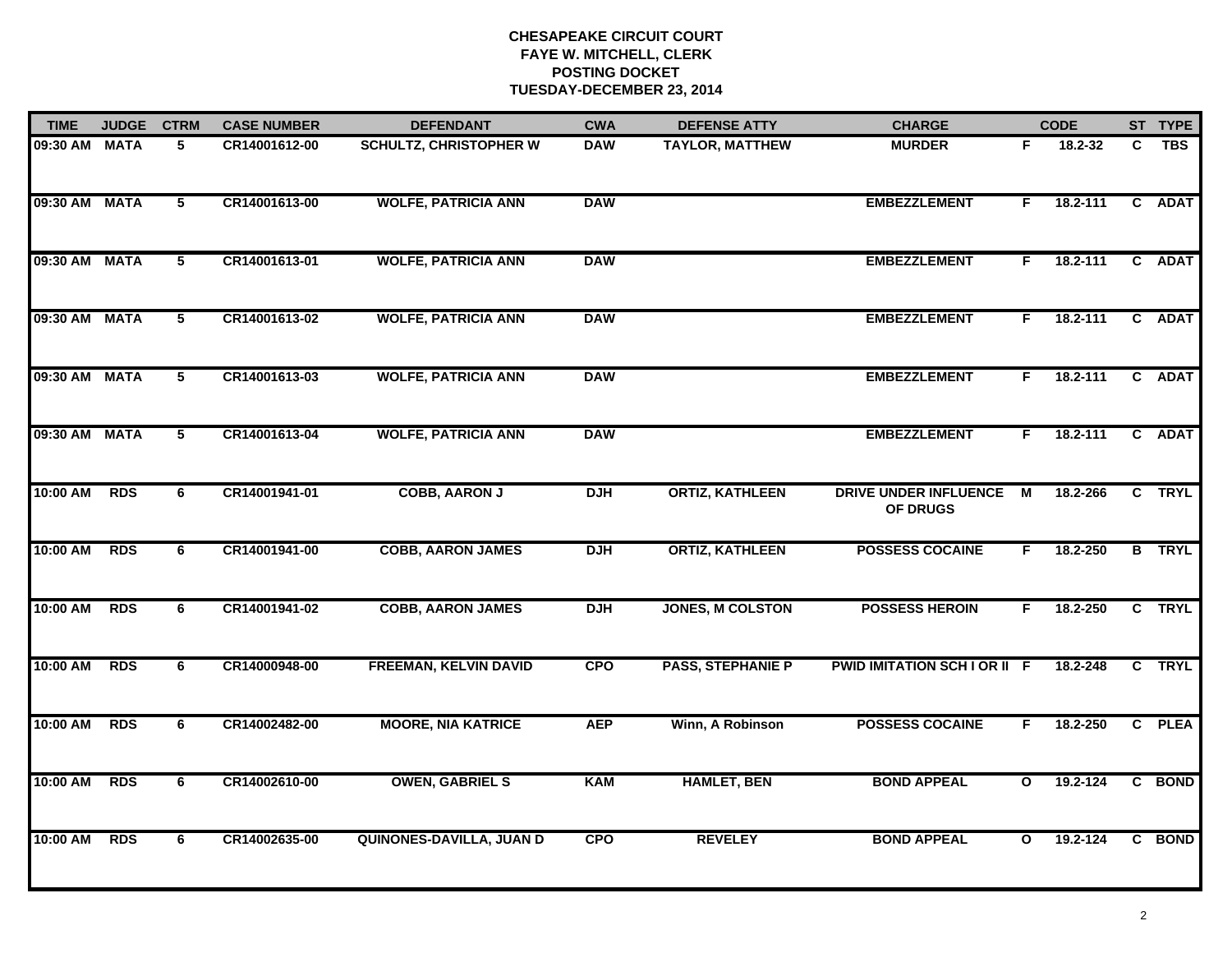## **CHESAPEAKE CIRCUIT COURT FAYE W. MITCHELL, CLERK POSTING DOCKET TUESDAY-DECEMBER 23, 2014**

| <b>TIME</b>   | <b>JUDGE</b> | <b>CTRM</b>     | <b>CASE NUMBER</b> | <b>DEFENDANT</b>              | <b>CWA</b>                        | <b>DEFENSE ATTY</b>      | <b>CHARGE</b>                            | <b>CODE</b>  |          |              | ST TYPE       |
|---------------|--------------|-----------------|--------------------|-------------------------------|-----------------------------------|--------------------------|------------------------------------------|--------------|----------|--------------|---------------|
| 09:30 AM MATA |              | 5               | CR14001612-00      | <b>SCHULTZ, CHRISTOPHER W</b> | <b>DAW</b>                        | <b>TAYLOR, MATTHEW</b>   | <b>MURDER</b>                            | F.           | 18.2-32  | C            | <b>TBS</b>    |
| 09:30 AM MATA |              | $5\overline{ }$ | CR14001613-00      | <b>WOLFE, PATRICIA ANN</b>    | <b>DAW</b>                        |                          | <b>EMBEZZLEMENT</b>                      | F.           | 18.2-111 | $\mathbf{c}$ | <b>ADAT</b>   |
| 09:30 AM MATA |              | 5               | CR14001613-01      | <b>WOLFE, PATRICIA ANN</b>    | <b>DAW</b>                        |                          | <b>EMBEZZLEMENT</b>                      | F.           | 18.2-111 |              | C ADAT        |
| 09:30 AM MATA |              | 5               | CR14001613-02      | <b>WOLFE, PATRICIA ANN</b>    | <b>DAW</b><br><b>EMBEZZLEMENT</b> |                          | F.                                       | $18.2 - 111$ |          | C ADAT       |               |
| 09:30 AM MATA |              | 5               | CR14001613-03      | <b>WOLFE, PATRICIA ANN</b>    | <b>DAW</b>                        |                          | <b>EMBEZZLEMENT</b>                      | F.           | 18.2-111 |              | C ADAT        |
| 09:30 AM MATA |              | 5               | CR14001613-04      | <b>WOLFE, PATRICIA ANN</b>    | <b>DAW</b>                        |                          | <b>EMBEZZLEMENT</b>                      | F.           | 18.2-111 |              | C ADAT        |
| 10:00 AM      | <b>RDS</b>   | 6               | CR14001941-01      | <b>COBB, AARON J</b>          | <b>DJH</b>                        | <b>ORTIZ, KATHLEEN</b>   | <b>DRIVE UNDER INFLUENCE</b><br>OF DRUGS | M            | 18.2-266 | $\mathbf{c}$ | <b>TRYL</b>   |
| 10:00 AM      | <b>RDS</b>   | 6               | CR14001941-00      | <b>COBB, AARON JAMES</b>      | <b>DJH</b>                        | <b>ORTIZ, KATHLEEN</b>   | <b>POSSESS COCAINE</b>                   | F            | 18.2-250 |              | <b>B</b> TRYL |
| 10:00 AM      | <b>RDS</b>   | 6               | CR14001941-02      | <b>COBB, AARON JAMES</b>      | <b>DJH</b>                        | <b>JONES, M COLSTON</b>  | <b>POSSESS HEROIN</b>                    | F.           | 18.2-250 |              | C TRYL        |
| 10:00 AM      | <b>RDS</b>   | 6               | CR14000948-00      | <b>FREEMAN, KELVIN DAVID</b>  | <b>CPO</b>                        | <b>PASS, STEPHANIE P</b> | PWID IMITATION SCH I OR II F             |              | 18.2-248 |              | C TRYL        |
| 10:00 AM      | <b>RDS</b>   | 6               | CR14002482-00      | <b>MOORE, NIA KATRICE</b>     | <b>AEP</b>                        | Winn, A Robinson         | <b>POSSESS COCAINE</b>                   | F.           | 18.2-250 |              | C PLEA        |
| 10:00 AM      | <b>RDS</b>   | 6               | CR14002610-00      | <b>OWEN, GABRIEL S</b>        | <b>KAM</b>                        | <b>HAMLET, BEN</b>       | <b>BOND APPEAL</b>                       | $\mathbf{o}$ | 19.2-124 |              | C BOND        |
| 10:00 AM      | <b>RDS</b>   | 6               | CR14002635-00      | QUINONES-DAVILLA, JUAN D      | <b>CPO</b>                        | <b>REVELEY</b>           | <b>BOND APPEAL</b>                       | $\mathbf{o}$ | 19.2-124 |              | C BOND        |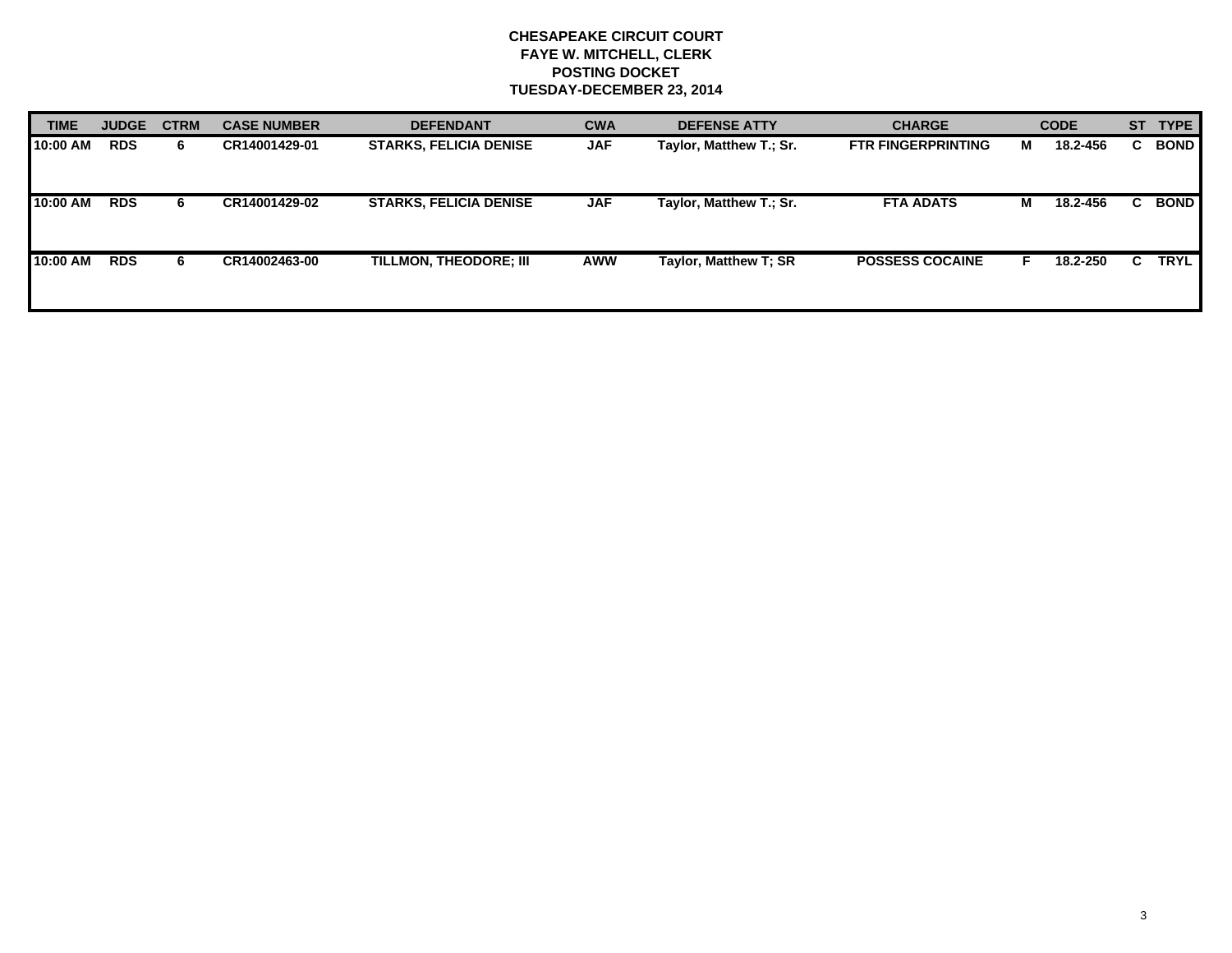## **CHESAPEAKE CIRCUIT COURT FAYE W. MITCHELL, CLERK POSTING DOCKET TUESDAY-DECEMBER 23, 2014**

| <b>TIME</b> | <b>JUDGE</b> | <b>CTRM</b> | <b>CASE NUMBER</b> | <b>DEFENDANT</b>              | <b>CWA</b> | <b>DEFENSE ATTY</b>     | <b>CHARGE</b>             | <b>CODE</b> |          |    | ST TYPE     |
|-------------|--------------|-------------|--------------------|-------------------------------|------------|-------------------------|---------------------------|-------------|----------|----|-------------|
| 10:00 AM    | <b>RDS</b>   | 6.          | CR14001429-01      | <b>STARKS, FELICIA DENISE</b> | <b>JAF</b> | Taylor, Matthew T.; Sr. | <b>FTR FINGERPRINTING</b> | M           | 18.2-456 | C. | <b>BOND</b> |
| 10:00 AM    | <b>RDS</b>   | 6.          | CR14001429-02      | <b>STARKS, FELICIA DENISE</b> | <b>JAF</b> | Taylor, Matthew T.; Sr. | <b>FTA ADATS</b>          | M           | 18.2-456 |    | <b>BOND</b> |
| 10:00 AM    | <b>RDS</b>   | 6.          | CR14002463-00      | TILLMON, THEODORE; III        | <b>AWW</b> | Taylor, Matthew T; SR   | <b>POSSESS COCAINE</b>    |             | 18.2-250 | C. | <b>TRYL</b> |